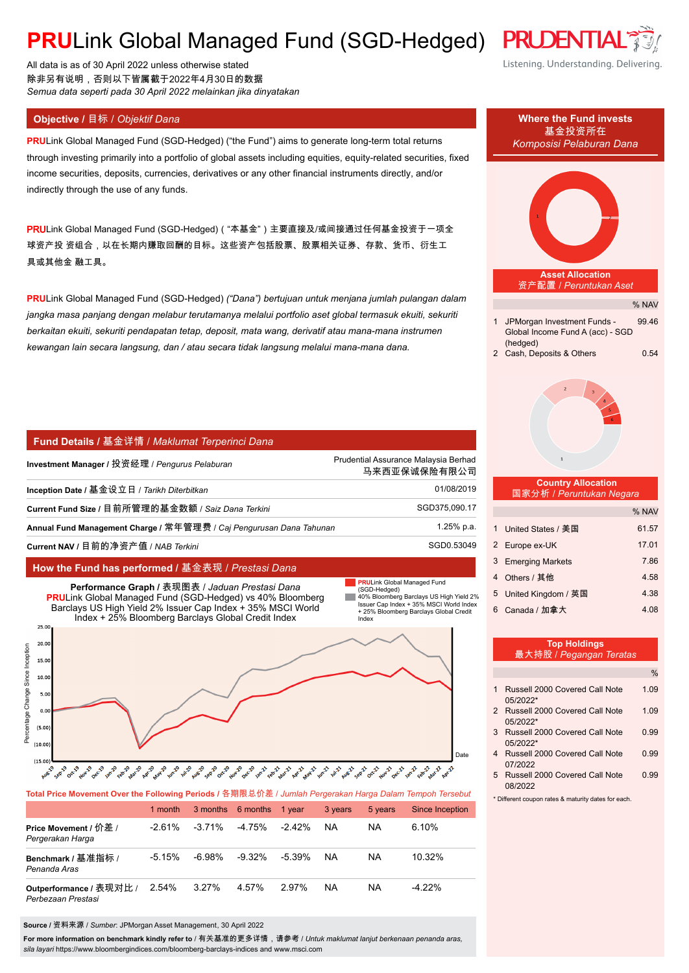## **PRULink Global Managed Fund (SGD-Hedged) PRUDENTL**

All data is as of 30 April 2022 unless otherwise stated 除非另有说明,否则以下皆属截于2022年4月30日的数据 *Semua data seperti pada 30 April 2022 melainkan jika dinyatakan*

**PRU**Link Global Managed Fund (SGD-Hedged) ("the Fund") aims to generate long-term total returns through investing primarily into a portfolio of global assets including equities, equity-related securities, fixed income securities, deposits, currencies, derivatives or any other financial instruments directly, and/or indirectly through the use of any funds.

PRULink Global Managed Fund (SGD-Hedged)( "本基金")主要直接及/或间接通过任何基金投资于一项全 球资产投 资组合,以在长期内赚取回酬的目标。这些资产包括股票、股票相关证券、存款、货币、衍生工 具或其他金 融工具。

**PRU**Link Global Managed Fund (SGD-Hedged) *("Dana") bertujuan untuk menjana jumlah pulangan dalam jangka masa panjang dengan melabur terutamanya melalui portfolio aset global termasuk ekuiti, sekuriti berkaitan ekuiti, sekuriti pendapatan tetap, deposit, mata wang, derivatif atau mana-mana instrumen kewangan lain secara langsung, dan / atau secara tidak langsung melalui mana-mana dana.*

#### **Fund Details /** 基金详情 / *Maklumat Terperinci Dana*

| Investment Manager / 投资经理 / <i>Penqurus Pelaburan</i>               | Prudential Assurance Malaysia Berhad<br>马来西亚保诚保险有限公司 |
|---------------------------------------------------------------------|------------------------------------------------------|
| Inception Date / 基金设立日 / Tarikh Diterbitkan                         | 01/08/2019                                           |
| Current Fund Size / 目前所管理的基金数额 / Saiz Dana Terkini                  | SGD375,090.17                                        |
| Annual Fund Management Charge / 常年管理费 / Caj Pengurusan Dana Tahunan | 1.25% p.a.                                           |
| Current NAV / 目前的净资产值 / <i>NAB Terkini</i>                          | SGD0.53049                                           |

#### **How the Fund has performed /** 基金表现 / *Prestasi Dana*



|                                               | 1 month   |           | 3 months 6 months 1 year |           | 3 years   | 5 years | Since Inception |
|-----------------------------------------------|-----------|-----------|--------------------------|-----------|-----------|---------|-----------------|
| Price Movement / 价差 /<br>Pergerakan Harga     | $-2.61\%$ | $-3.71\%$ | -4.75%                   | $-2.42\%$ | <b>NA</b> | NA      | $6.10\%$        |
| Benchmark / 基准指标 /<br>Penanda Aras            | $-5.15%$  | -6.98%    | $-9.32\%$                | $-5.39\%$ | <b>NA</b> | NA      | $10.32\%$       |
| Outperformance / 表现对比 /<br>Perbezaan Prestasi | 2.54%     | 3.27%     | 4.57%                    | 2.97%     | NA        | NA      | $-4.22\%$       |

**Source /** 资料来源 / *Sumber*: JPMorgan Asset Management, 30 April 2022

**For more information on benchmark kindly refer to** / 有关基准的更多详情,请参考 / *Untuk maklumat lanjut berkenaan penanda aras, sila layari* https://www.bloombergindices.com/bloomberg-barclays-indices and www.msci.com

# Listening. Understanding. Delivering.



| 3 Russell 2000 Covered Call Note | <u>በ 99</u> |
|----------------------------------|-------------|
| 05/2022*                         |             |
| 4 Russell 2000 Covered Call Note | <u>በ 99</u> |
| 07/2022                          |             |

5 Russell 2000 Covered Call Note 0.99 08/2022

\* Different coupon rates & maturity dates for each.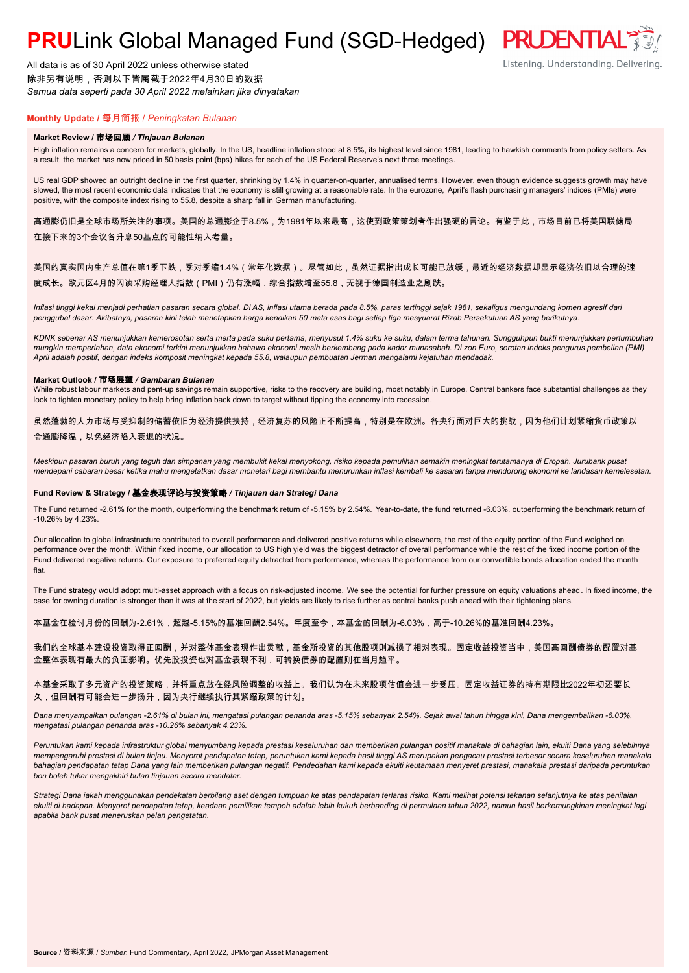## **PRULink Global Managed Fund (SGD-Hedged) PRUDENTIAL<sup>®</sup>**

All data is as of 30 April 2022 unless otherwise stated 除非另有说明,否则以下皆属截于2022年4月30日的数据 *Semua data seperti pada 30 April 2022 melainkan jika dinyatakan*



### **Monthly Update /** 每月简报 / *Peningkatan Bulanan*

#### **Market Review /** 市场回顾 */ Tinjauan Bulanan*

High inflation remains a concern for markets, globally. In the US, headline inflation stood at 8.5%, its highest level since 1981, leading to hawkish comments from policy setters. As a result, the market has now priced in 50 basis point (bps) hikes for each of the US Federal Reserve's next three meetings.

US real GDP showed an outright decline in the first quarter, shrinking by 1.4% in quarter-on-quarter, annualised terms. However, even though evidence suggests growth may have slowed, the most recent economic data indicates that the economy is still growing at a reasonable rate. In the eurozone, April's flash purchasing managers' indices (PMIs) were positive, with the composite index rising to 55.8, despite a sharp fall in German manufacturing.

高通膨仍旧是全球市场所关注的事项。美国的总通膨企于8.5%,为1981年以来最高,这使到政策策划者作出强硬的言论。有鉴于此,市场目前已将美国联储局 在接下来的3个会议各升息50基点的可能性纳入考量。

#### 美国的真实国内生产总值在第1季下跌,季对季缩1.4%(常年化数据)。尽管如此,虽然证据指出成长可能已放缓,最近的经济数据却显示经济依旧以合理的速 度成长。欧元区4月的闪读采购经理人指数(PMI)仍有涨幅,综合指数增至55.8,无视于德国制造业之剧跌。

*Inflasi tinggi kekal menjadi perhatian pasaran secara global. Di AS, inflasi utama berada pada 8.5%, paras tertinggi sejak 1981, sekaligus mengundang komen agresif dari penggubal dasar. Akibatnya, pasaran kini telah menetapkan harga kenaikan 50 mata asas bagi setiap tiga mesyuarat Rizab Persekutuan AS yang berikutnya.*

*KDNK sebenar AS menunjukkan kemerosotan serta merta pada suku pertama, menyusut 1.4% suku ke suku, dalam terma tahunan. Sungguhpun bukti menunjukkan pertumbuhan mungkin memperlahan, data ekonomi terkini menunjukkan bahawa ekonomi masih berkembang pada kadar munasabah. Di zon Euro, sorotan indeks pengurus pembelian (PMI) April adalah positif, dengan indeks komposit meningkat kepada 55.8, walaupun pembuatan Jerman mengalami kejatuhan mendadak.*

#### **Market Outlook /** 市场展望 */ Gambaran Bulanan*

While robust labour markets and pent-up savings remain supportive, risks to the recovery are building, most notably in Europe. Central bankers face substantial challenges as they look to tighten monetary policy to help bring inflation back down to target without tipping the economy into recession.

虽然蓬勃的人力市场与受抑制的储蓄依旧为经济提供扶持,经济复苏的风险正不断提高,特别是在欧洲。各央行面对巨大的挑战,因为他们计划紧缩货币政策以 令通膨降温,以免经济陷入衰退的状况。

*Meskipun pasaran buruh yang teguh dan simpanan yang membukit kekal menyokong, risiko kepada pemulihan semakin meningkat terutamanya di Eropah. Jurubank pusat mendepani cabaran besar ketika mahu mengetatkan dasar monetari bagi membantu menurunkan inflasi kembali ke sasaran tanpa mendorong ekonomi ke landasan kemelesetan.*

#### **Fund Review & Strategy /** 基金表现评论与投资策略 */ Tinjauan dan Strategi Dana*

The Fund returned -2.61% for the month, outperforming the benchmark return of -5.15% by 2.54%. Year-to-date, the fund returned -6.03%, outperforming the benchmark return of -10.26% by 4.23%.

Our allocation to global infrastructure contributed to overall performance and delivered positive returns while elsewhere, the rest of the equity portion of the Fund weighed on performance over the month. Within fixed income, our allocation to US high yield was the biggest detractor of overall performance while the rest of the fixed income portion of the Fund delivered negative returns. Our exposure to preferred equity detracted from performance, whereas the performance from our convertible bonds allocation ended the month flat.

The Fund strategy would adopt multi-asset approach with a focus on risk-adjusted income. We see the potential for further pressure on equity valuations ahead. In fixed income, the case for owning duration is stronger than it was at the start of 2022, but yields are likely to rise further as central banks push ahead with their tightening plans.

本基金在检讨月份的回酬为-2.61%,超越-5.15%的基准回酬2.54%。年度至今,本基金的回酬为-6.03%,高于-10.26%的基准回酬4.23%。

我们的全球基本建设投资取得正回酬,并对整体基金表现作出贡献,基金所投资的其他股项则减损了相对表现。固定收益投资当中,美国高回酬债券的配置对基 金整体表现有最大的负面影响。优先股投资也对基金表现不利,可转换债券的配置则在当月趋平。

本基金采取了多元资产的投资策略,并将重点放在经风险调整的收益上。我们认为在未来股项估值会进一步受压。固定收益证券的持有期限比2022年初还要长 久,但回酬有可能会进一步扬升,因为央行继续执行其紧缩政策的计划。

*Dana menyampaikan pulangan -2.61% di bulan ini, mengatasi pulangan penanda aras -5.15% sebanyak 2.54%. Sejak awal tahun hingga kini, Dana mengembalikan -6.03%, mengatasi pulangan penanda aras -10.26% sebanyak 4.23%.*

Peruntukan kami kepada infrastruktur global menyumbang kepada prestasi keseluruhan dan memberikan pulangan positif manakala di bahagian lain, ekuiti Dana yang selebihnya *mempengaruhi prestasi di bulan tinjau. Menyorot pendapatan tetap, peruntukan kami kepada hasil tinggi AS merupakan pengacau prestasi terbesar secara keseluruhan manakala bahagian pendapatan tetap Dana yang lain memberikan pulangan negatif. Pendedahan kami kepada ekuiti keutamaan menyeret prestasi, manakala prestasi daripada peruntukan bon boleh tukar mengakhiri bulan tinjauan secara mendatar.*

*Strategi Dana iakah menggunakan pendekatan berbilang aset dengan tumpuan ke atas pendapatan terlaras risiko. Kami melihat potensi tekanan selanjutnya ke atas penilaian ekuiti di hadapan. Menyorot pendapatan tetap, keadaan pemilikan tempoh adalah lebih kukuh berbanding di permulaan tahun 2022, namun hasil berkemungkinan meningkat lagi apabila bank pusat meneruskan pelan pengetatan.*